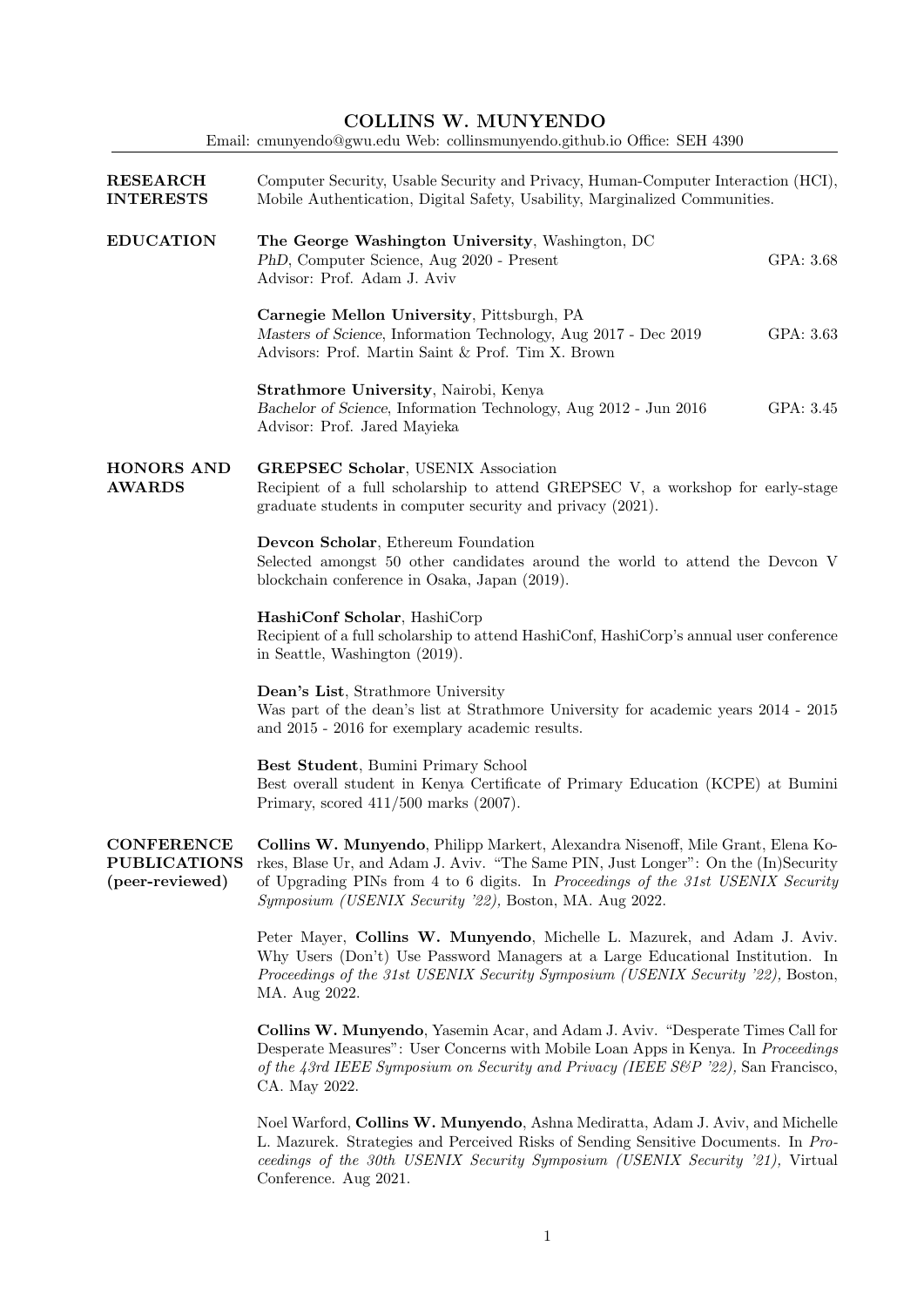| <b>COLLINS W. MUNYENDO</b><br>Email: cmunyendo@gwu.edu Web: collinsmunyendo.github.io Office: SEH 4390 |                                                                                                                                                                                                                                                                                                                     |  |  |
|--------------------------------------------------------------------------------------------------------|---------------------------------------------------------------------------------------------------------------------------------------------------------------------------------------------------------------------------------------------------------------------------------------------------------------------|--|--|
| <b>RESEARCH</b><br><b>INTERESTS</b>                                                                    | Computer Security, Usable Security and Privacy, Human-Computer Interaction (HCI),<br>Mobile Authentication, Digital Safety, Usability, Marginalized Communities.                                                                                                                                                    |  |  |
| <b>EDUCATION</b>                                                                                       | The George Washington University, Washington, DC<br>PhD, Computer Science, Aug 2020 - Present<br>GPA: 3.68<br>Advisor: Prof. Adam J. Aviv                                                                                                                                                                           |  |  |
|                                                                                                        | Carnegie Mellon University, Pittsburgh, PA<br>GPA: 3.63<br>Masters of Science, Information Technology, Aug 2017 - Dec 2019<br>Advisors: Prof. Martin Saint & Prof. Tim X. Brown                                                                                                                                     |  |  |
|                                                                                                        | Strathmore University, Nairobi, Kenya<br>Bachelor of Science, Information Technology, Aug 2012 - Jun 2016<br>GPA: 3.45<br>Advisor: Prof. Jared Mayieka                                                                                                                                                              |  |  |
| <b>HONORS AND</b><br><b>AWARDS</b>                                                                     | <b>GREPSEC Scholar, USENIX Association</b><br>Recipient of a full scholarship to attend GREPSEC V, a workshop for early-stage<br>graduate students in computer security and privacy (2021).                                                                                                                         |  |  |
|                                                                                                        | Devcon Scholar, Ethereum Foundation<br>Selected amongst 50 other candidates around the world to attend the Devcon V<br>blockchain conference in Osaka, Japan (2019).                                                                                                                                                |  |  |
|                                                                                                        | HashiConf Scholar, HashiCorp<br>Recipient of a full scholarship to attend HashiConf, HashiCorp's annual user conference<br>in Seattle, Washington (2019).                                                                                                                                                           |  |  |
|                                                                                                        | Dean's List, Strathmore University<br>Was part of the dean's list at Strathmore University for academic years 2014 - 2015<br>and 2015 - 2016 for exemplary academic results.                                                                                                                                        |  |  |
|                                                                                                        | Best Student, Bumini Primary School<br>Best overall student in Kenya Certificate of Primary Education (KCPE) at Bumini<br>Primary, scored $411/500$ marks $(2007)$ .                                                                                                                                                |  |  |
| <b>CONFERENCE</b><br><b>PUBLICATIONS</b><br>(peer-reviewed)                                            | Collins W. Munyendo, Philipp Markert, Alexandra Nisenoff, Mile Grant, Elena Ko-<br>rkes, Blase Ur, and Adam J. Aviv. "The Same PIN, Just Longer": On the (In)Security<br>of Upgrading PINs from 4 to 6 digits. In Proceedings of the 31st USENIX Security<br>Symposium (USENIX Security '22), Boston, MA. Aug 2022. |  |  |
|                                                                                                        | Peter Mayer, Collins W. Munyendo, Michelle L. Mazurek, and Adam J. Aviv.<br>Why Users (Don't) Use Password Managers at a Large Educational Institution. In<br>Proceedings of the 31st USENIX Security Symposium (USENIX Security '22), Boston,<br>MA. Aug 2022.                                                     |  |  |
|                                                                                                        | Collins W. Munyendo, Yasemin Acar, and Adam J. Aviv. "Desperate Times Call for<br>Desperate Measures": User Concerns with Mobile Loan Apps in Kenya. In Proceedings<br>of the 43rd IEEE Symposium on Security and Privacy (IEEE S&P '22), San Francisco,<br>CA. May 2022.                                           |  |  |
|                                                                                                        | Noel Warford, Collins W. Munyendo, Ashna Mediratta, Adam J. Aviv, and Michelle<br>L. Mazurek. Strategies and Perceived Risks of Sending Sensitive Documents. In Pro-<br>ceedings of the 30th USENIX Security Symposium (USENIX Security '21), Virtual                                                               |  |  |

Conference. Aug 2021.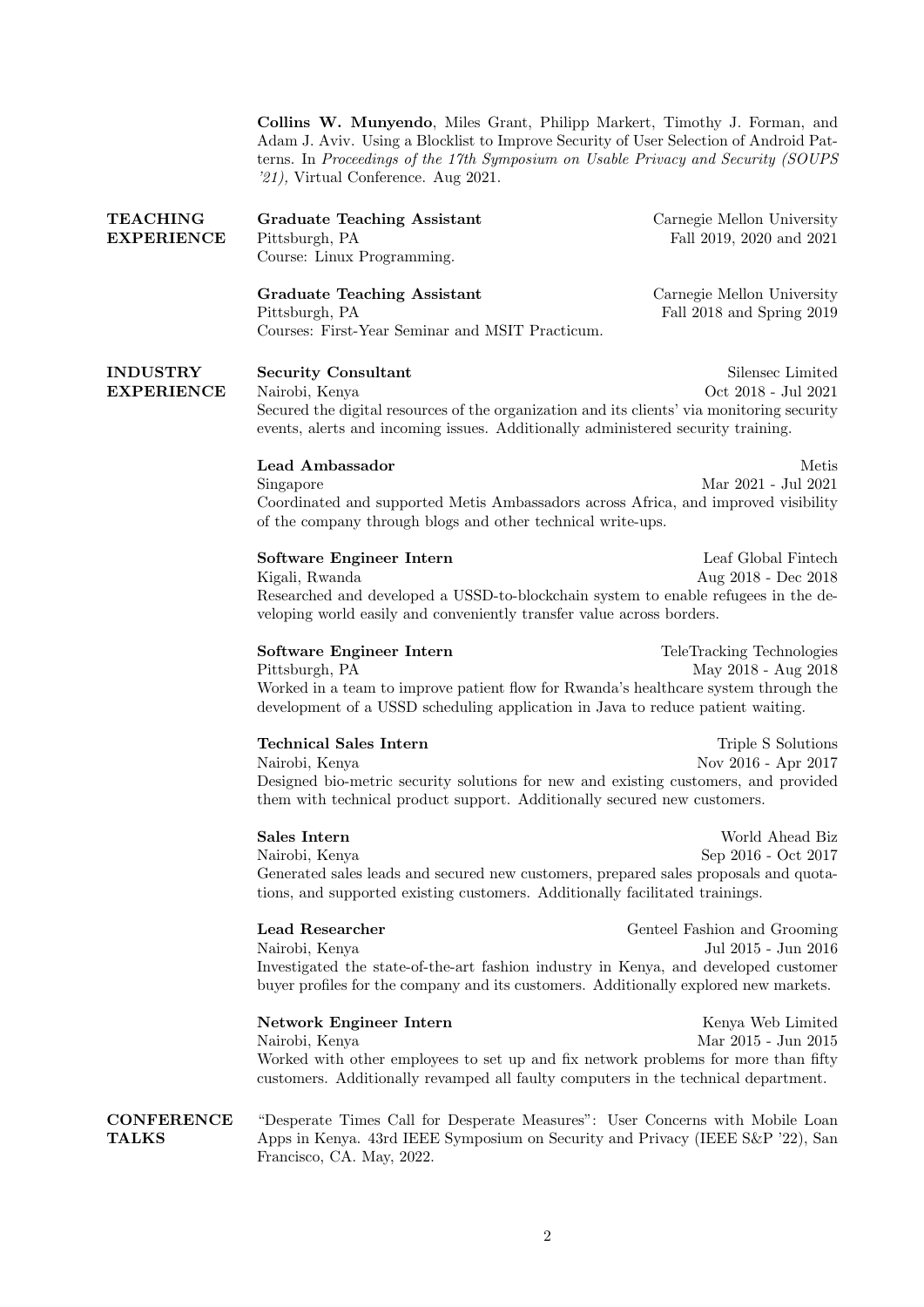Collins W. Munyendo, Miles Grant, Philipp Markert, Timothy J. Forman, and Adam J. Aviv. Using a Blocklist to Improve Security of User Selection of Android Patterns. In Proceedings of the 17th Symposium on Usable Privacy and Security (SOUPS '21), Virtual Conference. Aug 2021.

| <b>TEACHING</b><br><b>EXPERIENCE</b> | <b>Graduate Teaching Assistant</b><br>Pittsburgh, PA<br>Course: Linux Programming.                                                                                                                                             | Carnegie Mellon University<br>Fall 2019, 2020 and 2021  |  |
|--------------------------------------|--------------------------------------------------------------------------------------------------------------------------------------------------------------------------------------------------------------------------------|---------------------------------------------------------|--|
|                                      | <b>Graduate Teaching Assistant</b><br>Pittsburgh, PA<br>Courses: First-Year Seminar and MSIT Practicum.                                                                                                                        | Carnegie Mellon University<br>Fall 2018 and Spring 2019 |  |
| <b>INDUSTRY</b><br><b>EXPERIENCE</b> | <b>Security Consultant</b><br>Nairobi, Kenya<br>Secured the digital resources of the organization and its clients' via monitoring security<br>events, alerts and incoming issues. Additionally administered security training. | Silensec Limited<br>Oct $2018$ - Jul $2021$             |  |
|                                      | Lead Ambassador<br>Singapore<br>Coordinated and supported Metis Ambassadors across Africa, and improved visibility<br>of the company through blogs and other technical write-ups.                                              | Metis<br>Mar 2021 - Jul 2021                            |  |
|                                      | Software Engineer Intern<br>Kigali, Rwanda<br>Researched and developed a USSD-to-blockchain system to enable refugees in the de-<br>veloping world easily and conveniently transfer value across borders.                      | Leaf Global Fintech<br>Aug 2018 - Dec 2018              |  |
|                                      | Software Engineer Intern<br>Pittsburgh, PA<br>Worked in a team to improve patient flow for Rwanda's healthcare system through the<br>development of a USSD scheduling application in Java to reduce patient waiting.           | TeleTracking Technologies<br>May 2018 - Aug 2018        |  |
|                                      | <b>Technical Sales Intern</b><br>Nairobi, Kenya<br>Designed bio-metric security solutions for new and existing customers, and provided<br>them with technical product support. Additionally secured new customers.             | Triple S Solutions<br>Nov 2016 - Apr 2017               |  |
|                                      | Sales Intern<br>Nairobi, Kenya<br>Generated sales leads and secured new customers, prepared sales proposals and quota-<br>tions, and supported existing customers. Additionally facilitated trainings.                         | World Ahead Biz<br>Sep 2016 - Oct 2017                  |  |
|                                      | <b>Lead Researcher</b><br>Nairobi, Kenya<br>Investigated the state-of-the-art fashion industry in Kenya, and developed customer<br>buyer profiles for the company and its customers. Additionally explored new markets.        | Genteel Fashion and Grooming<br>Jul 2015 - Jun 2016     |  |
|                                      | <b>Network Engineer Intern</b><br>Nairobi, Kenya<br>Worked with other employees to set up and fix network problems for more than fifty<br>customers. Additionally revamped all faulty computers in the technical department.   | Kenya Web Limited<br>Mar 2015 - Jun 2015                |  |
| <b>CONFERENCE</b><br><b>TALKS</b>    | "Desperate Times Call for Desperate Measures": User Concerns with Mobile Loan<br>Apps in Kenya. 43rd IEEE Symposium on Security and Privacy (IEEE S&P '22), San<br>Francisco, CA. May, 2022.                                   |                                                         |  |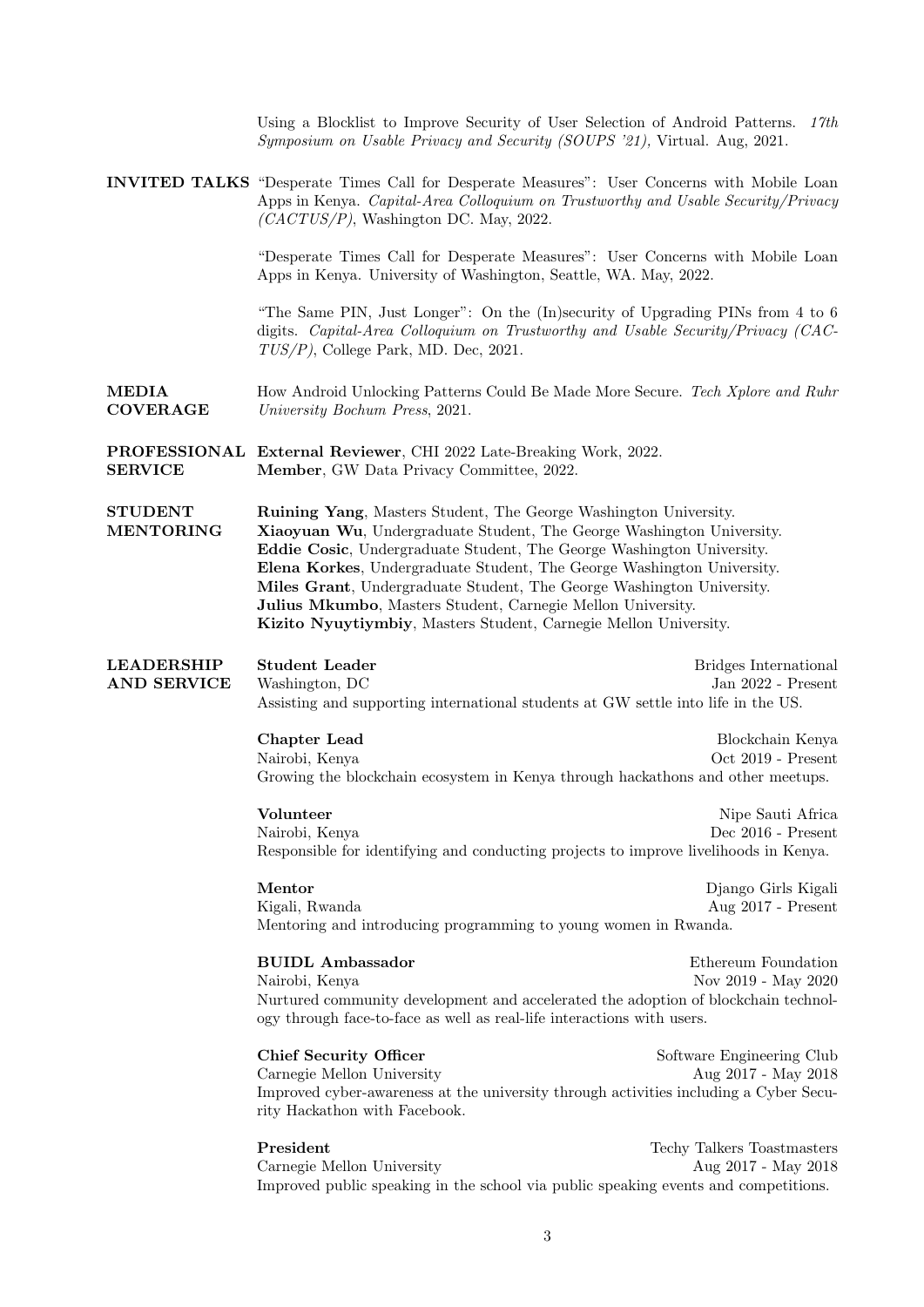Using a Blocklist to Improve Security of User Selection of Android Patterns. 17th Symposium on Usable Privacy and Security (SOUPS '21), Virtual. Aug, 2021.

INVITED TALKS "Desperate Times Call for Desperate Measures": User Concerns with Mobile Loan Apps in Kenya. Capital-Area Colloquium on Trustworthy and Usable Security/Privacy (CACTUS/P), Washington DC. May, 2022.

> "Desperate Times Call for Desperate Measures": User Concerns with Mobile Loan Apps in Kenya. University of Washington, Seattle, WA. May, 2022.

> "The Same PIN, Just Longer": On the (In)security of Upgrading PINs from 4 to 6 digits. Capital-Area Colloquium on Trustworthy and Usable Security/Privacy (CAC-TUS/P), College Park, MD. Dec, 2021.

MEDIA COVERAGE How Android Unlocking Patterns Could Be Made More Secure. Tech Xplore and Ruhr University Bochum Press, 2021.

PROFESSIONAL External Reviewer, CHI 2022 Late-Breaking Work, 2022. SERVICE Member, GW Data Privacy Committee, 2022.

STUDENT MENTORING Ruining Yang, Masters Student, The George Washington University. Xiaoyuan Wu, Undergraduate Student, The George Washington University. Eddie Cosic, Undergraduate Student, The George Washington University. Elena Korkes, Undergraduate Student, The George Washington University. Miles Grant, Undergraduate Student, The George Washington University. Julius Mkumbo, Masters Student, Carnegie Mellon University. Kizito Nyuytiymbiy, Masters Student, Carnegie Mellon University.

LEADERSHIP AND SERVICE Student Leader **Bridges International** Washington, DC Jan 2022 - Present Assisting and supporting international students at GW settle into life in the US.

> **Chapter Lead** Blockchain Kenya Nairobi, Kenya Oct 2019 - Present Growing the blockchain ecosystem in Kenya through hackathons and other meetups.

> Volunteer Nipe Sauti Africa Nairobi, Kenya Dec 2016 - Present Responsible for identifying and conducting projects to improve livelihoods in Kenya.

Mentor Django Girls Kigali Kigali, Rwanda Aug 2017 - Present Mentoring and introducing programming to young women in Rwanda.

BUIDL Ambassador Ethereum Foundation Nairobi, Kenya Nov 2019 - May 2020 Nurtured community development and accelerated the adoption of blockchain technology through face-to-face as well as real-life interactions with users.

Chief Security Officer Software Engineering Club Carnegie Mellon University Aug 2017 - May 2018 Improved cyber-awareness at the university through activities including a Cyber Security Hackathon with Facebook.

President Techy Talkers Toastmasters Towns Carnegie Mellon University Aug 2017 - May 2018 Improved public speaking in the school via public speaking events and competitions.